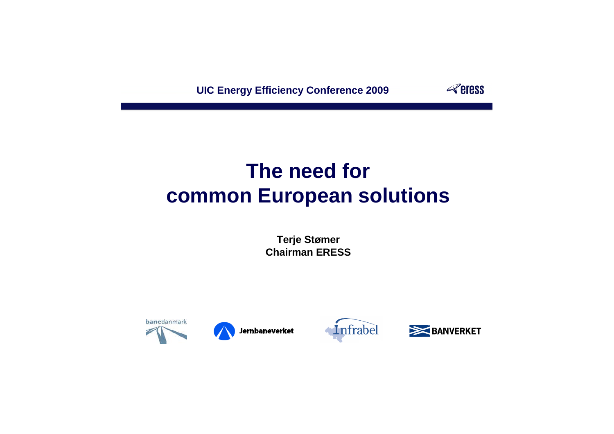# **The need for common European solutions**

**UIC Energy Efficiency Conference 2009**



**Terje Stømer Chairman ERESS**



Jernbaneverket





### **Peress**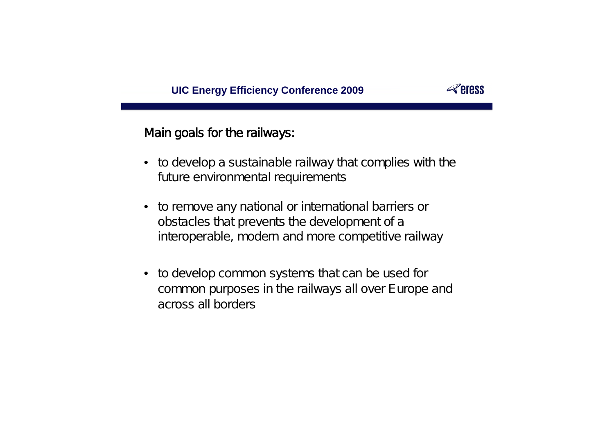

- to develop a sustainable railway that complies with the future environmental requirements
- to remove any national or international barriers or obstacles that prevents the development of a interoperable, modern and more competitive railway
- to develop common systems that can be used for common purposes in the railways all over Europe and across all borders

### **Peress**

#### **UIC Energy Efficiency Conference 2009**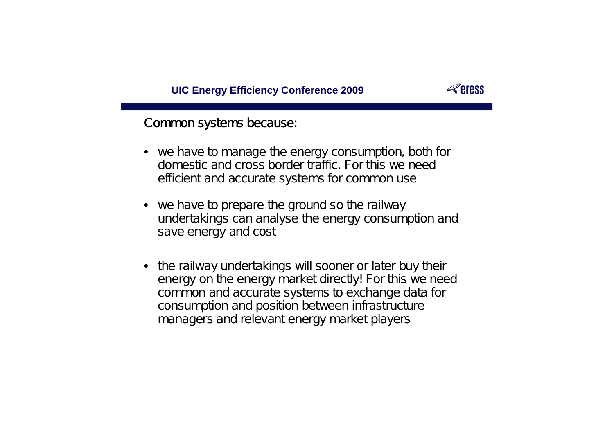#### Common systems because:

- we have to manage the energy consumption, both for domestic and cross border traffic. For this we need efficient and accurate systems for common use
- we have to prepare the ground so the railway undertakings can analyse the energy consumption and save energy and cost
- the railway undertakings will sooner or later buy their energy on the energy market directly! For this we need common and accurate systems to exchange data for consumption and position between infrastructure managers and relevant energy market players

#### **Peress**

#### **UIC Energy Efficiency Conference 2009**

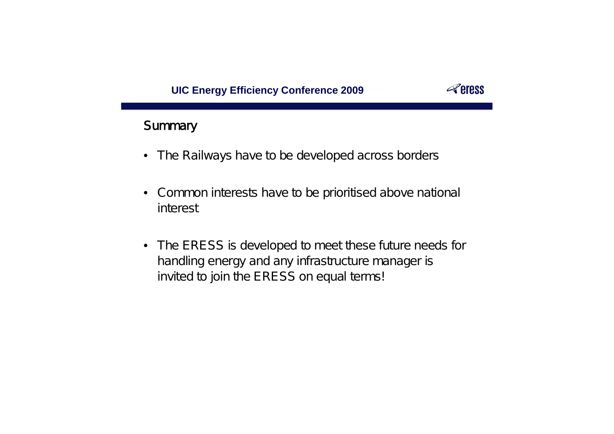- The Railways have to be developed across borders
- Common interests have to be prioritised above national interest
- The ERESS is developed to meet these future needs for handling energy and any infrastructure manager is invited to join the ERESS on equal terms!

### **Peress**

#### **UIC Energy Efficiency Conference 2009**



#### **Summary**